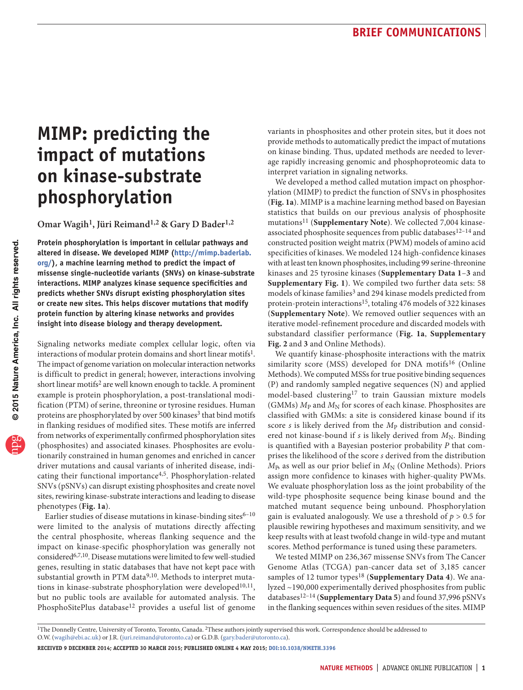# **MIMP: predicting the impact of mutations on kinase-substrate phosphorylation**

**Omar Wagih1, Jüri Reimand1,2 & Gary D Bader1,2**

**Protein phosphorylation is important in cellular pathways and altered in disease. We developed MIMP [\(http://mimp.baderlab.](http://mimp.baderlab.org/) [org/\)](http://mimp.baderlab.org/), a machine learning method to predict the impact of missense single-nucleotide variants (SNVs) on kinase-substrate interactions. MIMP analyzes kinase sequence specificities and predicts whether SNVs disrupt existing phosphorylation sites or create new sites. This helps discover mutations that modify protein function by altering kinase networks and provides insight into disease biology and therapy development.**

Signaling networks mediate complex cellular logic, often via interactions of modular protein domains and short linear motifs<sup>1</sup>. The impact of genome variation on molecular interaction networks is difficult to predict in general; however, interactions involving short linear motifs<sup>[2](#page-2-9)</sup> are well known enough to tackle. A prominent example is protein phosphorylation, a post-translational modification (PTM) of serine, threonine or tyrosine residues. Human proteins are phosphorylated by over 500 kinases<sup>3</sup> that bind motifs in flanking residues of modified sites. These motifs are inferred from networks of experimentally confirmed phosphorylation sites (phosphosites) and associated kinases. Phosphosites are evolutionarily constrained in human genomes and enriched in cancer driver mutations and causal variants of inherited disease, indicating their functional importance[4,](#page-2-10)[5.](#page-2-11) Phosphorylation-related SNVs (pSNVs) can disrupt existing phosphosites and create novel sites, rewiring kinase-substrate interactions and leading to disease phenotypes (**[Fig. 1a](#page-1-0)**).

Earlier studies of disease mutations in kinase-binding sites $6-10$  $6-10$ were limited to the analysis of mutations directly affecting the central phosphosite, whereas flanking sequence and the impact on kinase-specific phosphorylation was generally not considere[d6,](#page-2-12)[7,](#page-2-14)[10](#page-2-13). Disease mutations were limited to few well-studied genes, resulting in static databases that have not kept pace with substantial growth in PTM data<sup>[9,](#page-2-15)[10](#page-2-13)</sup>. Methods to interpret muta-tions in kinase-substrate phosphorylation were developed<sup>[10,](#page-2-13)11</sup>, but no public tools are available for automated analysis. The PhosphoSitePlus database<sup>[12](#page-2-1)</sup> provides a useful list of genome variants in phosphosites and other protein sites, but it does not provide methods to automatically predict the impact of mutations on kinase binding. Thus, updated methods are needed to leverage rapidly increasing genomic and phosphoproteomic data to interpret variation in signaling networks.

We developed a method called mutation impact on phosphorylation (MIMP) to predict the function of SNVs in phosphosites (**[Fig. 1a](#page-1-0)**). MIMP is a machine learning method based on Bayesian statistics that builds on our previous analysis of phosphosite mutations[11](#page-2-0) (**Supplementary Note**). We collected 7,004 kinase-associated phosphosite sequences from public databases<sup>12-[14](#page-2-2)</sup> and constructed position weight matrix (PWM) models of amino acid specificities of kinases. We modeled 124 high-confidence kinases with at least ten known phosphosites, including 99 serine-threonine kinases and 25 tyrosine kinases (**Supplementary Data 1**–**3** and **Supplementary Fig. 1**). We compiled two further data sets: 58 models of kinase families<sup>3</sup> and 294 kinase models predicted from protein-protein interactions<sup>15</sup>, totaling 476 models of 322 kinases (**Supplementary Note**). We removed outlier sequences with an iterative model-refinement procedure and discarded models with substandard classifier performance (**[Fig. 1a](#page-1-0)**, **Supplementary Fig. 2** and **3** and Online Methods).

We quantify kinase-phosphosite interactions with the matrix similarity score (MSS) developed for DNA motifs<sup>16</sup> (Online Methods). We computed MSSs for true positive binding sequences (P) and randomly sampled negative sequences (N) and applied model-based clustering<sup>[17](#page-2-6)</sup> to train Gaussian mixture models (GMMs)  $M<sub>P</sub>$  and  $M<sub>N</sub>$  for scores of each kinase. Phosphosites are classified with GMMs: a site is considered kinase bound if its score *s* is likely derived from the  $M<sub>P</sub>$  distribution and considered not kinase-bound if *s* is likely derived from  $M_N$ . Binding is quantified with a Bayesian posterior probability *P* that comprises the likelihood of the score *s* derived from the distribution  $M<sub>P</sub>$ , as well as our prior belief in  $M<sub>N</sub>$  (Online Methods). Priors assign more confidence to kinases with higher-quality PWMs. We evaluate phosphorylation loss as the joint probability of the wild-type phosphosite sequence being kinase bound and the matched mutant sequence being unbound. Phosphorylation gain is evaluated analogously. We use a threshold of  $p > 0.5$  for plausible rewiring hypotheses and maximum sensitivity, and we keep results with at least twofold change in wild-type and mutant scores. Method performance is tuned using these parameters.

We tested MIMP on 236,367 missense SNVs from The Cancer Genome Atlas (TCGA) pan-cancer data set of 3,185 cancer samples of 12 tumor types<sup>18</sup> (Supplementary Data 4). We analyzed ~190,000 experimentally derived phosphosites from public databases[12–](#page-2-1)[14](#page-2-2) (**Supplementary Data 5**) and found 37,996 pSNVs in the flanking sequences within seven residues of the sites. MIMP

**Received 9 December 2014; accepted 30 March 2015; published online 4 May 2015; [doi:10.1038/nmeth.3396](http://www.nature.com/doifinder/10.1038/nmeth.3396)**

<sup>&</sup>lt;sup>1</sup>The Donnelly Centre, University of Toronto, Toronto, Canada. <sup>2</sup>These authors jointly supervised this work. Correspondence should be addressed to O.W. (wagih@ebi.ac.uk) or J.R. (juri.reimand@utoronto.ca) or G.D.B. (gary.bader@utoronto.ca).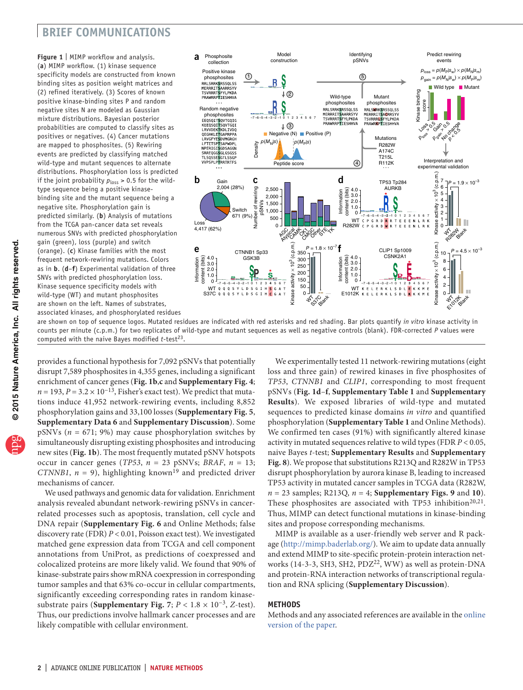# **brief communications**

<span id="page-1-0"></span>**Figure 1** | MIMP workflow and analysis. (**a**) MIMP workflow. (1) kinase sequence specificity models are constructed from known binding sites as position weight matrices and (2) refined iteratively. (3) Scores of known positive kinase-binding sites P and random negative sites N are modeled as Gaussian mixture distributions. Bayesian posterior probabilities are computed to classify sites as positives or negatives. (4) Cancer mutations are mapped to phosphosites. (5) Rewiring events are predicted by classifying matched wild-type and mutant sequences to alternate distributions. Phosphorylation loss is predicted if the joint probability  $p_{\text{loss}} > 0.5$  for the wildtype sequence being a positive kinasebinding site and the mutant sequence being a negative site. Phosphorylation gain is predicted similarly. (**b**) Analysis of mutations from the TCGA pan-cancer data set reveals numerous SNVs with predicted phosphorylation gain (green), loss (purple) and switch (orange). (**c**) Kinase families with the most frequent network-rewiring mutations. Colors as in **b**. (**d**–**f**) Experimental validation of three SNVs with predicted phosphorylation loss. Kinase sequence specificity models with wild-type (WT) and mutant phosphosites are shown on the left. Names of substrates, associated kinases, and phosphorylated residues



are shown on top of sequence logos. Mutated residues are indicated with red asterisks and red shading. Bar plots quantify *in vitro* kinase activity in counts per minute (c.p.m.) for two replicates of wild-type and mutant sequences as well as negative controls (blank). FDR-corrected *P* values were computed with the naive Bayes modified *t*-test<sup>[23](#page-2-17)</sup>.

provides a functional hypothesis for 7,092 pSNVs that potentially disrupt 7,589 phosphosites in 4,355 genes, including a significant enrichment of cancer genes (**[Fig. 1b](#page-1-0)**,**c** and **Supplementary Fig. 4**;  $n = 193$ ,  $P = 3.2 \times 10^{-13}$ , Fisher's exact test). We predict that mutations induce 41,952 network-rewiring events, including 8,852 phosphorylation gains and 33,100 losses (**Supplementary Fig. 5**, **Supplementary Data 6** and **Supplementary Discussion**). Some pSNVs (*n* = 671; 9%) may cause phosphorylation switches by simultaneously disrupting existing phosphosites and introducing new sites (**[Fig. 1b](#page-1-0)**). The most frequently mutated pSNV hotspots occur in cancer genes (*TP53*,  $n = 23$  pSNVs; *BRAF*,  $n = 13$ ; *CTNNB1*,  $n = 9$ ), highlighting known<sup>[19](#page-2-16)</sup> and predicted driver mechanisms of cancer.

We used pathways and genomic data for validation. Enrichment analysis revealed abundant network-rewiring pSNVs in cancerrelated processes such as apoptosis, translation, cell cycle and DNA repair (**Supplementary Fig. 6** and Online Methods; false discovery rate (FDR) *P* < 0.01, Poisson exact test). We investigated matched gene expression data from TCGA and cell component annotations from UniProt, as predictions of coexpressed and colocalized proteins are more likely valid. We found that 90% of kinase-substrate pairs show mRNA coexpression in corresponding tumor samples and that 63% co-occur in cellular compartments, significantly exceeding corresponding rates in random kinasesubstrate pairs (**Supplementary Fig. 7**; *P* < 1.8 × 10−3, *Z*-test). Thus, our predictions involve hallmark cancer processes and are likely compatible with cellular environment.

We experimentally tested 11 network-rewiring mutations (eight loss and three gain) of rewired kinases in five phosphosites of *TP53*, *CTNNB1* and *CLIP1*, corresponding to most frequent pSNVs (**[Fig. 1d](#page-1-0)**–**f**, **Supplementary Table 1** and **Supplementary Results**). We exposed libraries of wild-type and mutated sequences to predicted kinase domains *in vitro* and quantified phosphorylation (**Supplementary Table 1** and Online Methods). We confirmed ten cases (91%) with significantly altered kinase activity in mutated sequences relative to wild types (FDR *P* < 0.05, naive Bayes *t*-test; **Supplementary Results** and **Supplementary Fig. 8**). We propose that substitutions R213Q and R282W in TP53 disrupt phosphorylation by aurora kinase B, leading to increased TP53 activity in mutated cancer samples in TCGA data (R282W,  $n = 23$  samples; R213Q,  $n = 4$ ; **Supplementary Figs. 9** and **10**). These phosphosites are associated with TP53 inhibition<sup>[20,](#page-2-18)[21](#page-2-19)</sup>. Thus, MIMP can detect functional mutations in kinase-binding sites and propose corresponding mechanisms.

MIMP is available as a user-friendly web server and R package ([http://mimp.baderlab.org/\)](http://mimp.baderlab.org/). We aim to update data annually and extend MIMP to site-specific protein-protein interaction networks (14-3-3, SH3, SH2, PDZ[22](#page-2-20), WW) as well as protein-DNA and protein-RNA interaction networks of transcriptional regulation and RNA splicing (**Supplementary Discussion**).

## **Methods**

Methods and any associated references are available in the [online](http://www.nature.com/doifinder/10.1038/nmeth.3396) [version](http://www.nature.com/doifinder/10.1038/nmeth.3396) of the paper.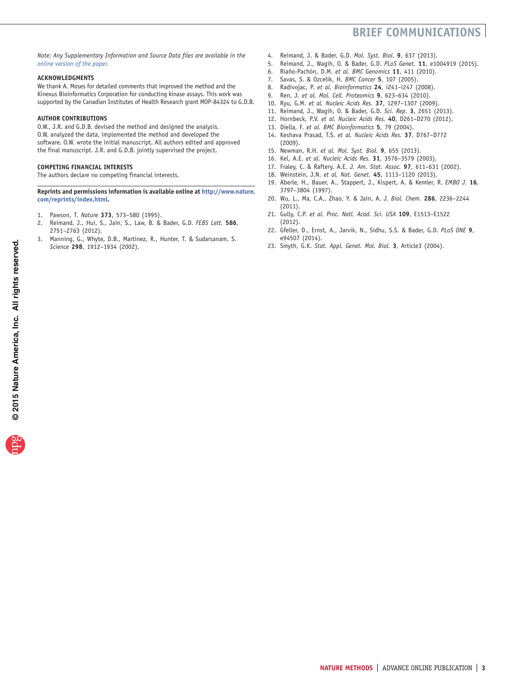# **brief communications**

*Note: Any Supplementary Information and Source Data files are available in the online [version](http://www.nature.com/doifinder/10.1038/nmeth.3396) of the paper.*

#### **Acknowledgments**

We thank A. Moses for detailed comments that improved the method and the Kinexus Bioinformatics Corporation for conducting kinase assays. This work was supported by the Canadian Institutes of Health Research grant MOP-84324 to G.D.B.

#### **AUTHOR CONTRIBUTIONS**

O.W., J.R. and G.D.B. devised the method and designed the analysis. O.W. analyzed the data, implemented the method and developed the software. O.W. wrote the initial manuscript. All authors edited and approved the final manuscript. J.R. and G.D.B. jointly supervised the project.

## **COMPETING FINANCIAL INTERESTS**

The authors declare no competing financial interests.

#### **Reprints and permissions information is available online at [http://www.nature.](http://www.nature.com/reprints/index.html) [com/reprints/index.html](http://www.nature.com/reprints/index.html).**

- <span id="page-2-8"></span>1. Pawson, T. *Nature* **373**, 573–580 (1995).
- <span id="page-2-9"></span>2. Reimand, J., Hui, S., Jain, S., Law, B. & Bader, G.D. *FEBS Lett.* **586**, 2751–2763 (2012).
- <span id="page-2-3"></span>3. Manning, G., Whyte, D.B., Martinez, R., Hunter, T. & Sudarsanam, S. *Science* **298**, 1912–1934 (2002).
- <span id="page-2-10"></span>4. Reimand, J. & Bader, G.D. *Mol. Syst. Biol.* **9**, 637 (2013).
- <span id="page-2-11"></span>5. Reimand, J., Wagih, O. & Bader, G.D. *PLoS Genet.* **11**, e1004919 (2015).
- <span id="page-2-12"></span>6. Riaño-Pachón, D.M. *et al. BMC Genomics* **11**, 411 (2010).
- <span id="page-2-14"></span>7. Savas, S. & Ozcelik, H. *BMC Cancer* **5**, 107 (2005).
- 8. Radivojac, P. *et al. Bioinformatics* **24**, i241–i247 (2008).
- <span id="page-2-15"></span>9. Ren, J. *et al. Mol. Cell. Proteomics* **9**, 623–634 (2010).
- <span id="page-2-13"></span><span id="page-2-0"></span>10. Ryu, G.M. *et al. Nucleic Acids Res.* **37**, 1297–1307 (2009). 11. Reimand, J., Wagih, O. & Bader, G.D. *Sci. Rep.* **3**, 2651 (2013).
- <span id="page-2-1"></span>12. Hornbeck, P.V. *et al. Nucleic Acids Res.* **40**, D261–D270 (2012).
- <span id="page-2-21"></span>13. Diella, F. *et al. BMC Bioinformatics* **5**, 79 (2004).
- <span id="page-2-2"></span>14. Keshava Prasad, T.S. *et al. Nucleic Acids Res.* **37**, D767–D772 (2009).
- <span id="page-2-4"></span>15. Newman, R.H. *et al. Mol. Syst. Biol.* **9**, 655 (2013).
- <span id="page-2-5"></span>16. Kel, A.E. *et al. Nucleic Acids Res.* **31**, 3576–3579 (2003).
- <span id="page-2-6"></span>17. Fraley, C. & Raftery, A.E. *J. Am. Stat. Assoc.* **97**, 611–631 (2002).
- <span id="page-2-7"></span>18. Weinstein, J.N. *et al. Nat. Genet.* **45**, 1113–1120 (2013).
- <span id="page-2-16"></span>19. Aberle, H., Bauer, A., Stappert, J., Kispert, A. & Kemler, R. *EMBO J.* **16**, 3797–3804 (1997).
- <span id="page-2-18"></span>20. Wu, L., Ma, C.A., Zhao, Y. & Jain, A. *J. Biol. Chem.* **286**, 2236–2244 (2011).
- <span id="page-2-19"></span>21. Gully, C.P. *et al. Proc. Natl. Acad. Sci. USA* **109**, E1513–E1522 (2012).
- <span id="page-2-20"></span>22. Gfeller, D., Ernst, A., Jarvik, N., Sidhu, S.S. & Bader, G.D. *PLoS ONE* **9**, e94507 (2014).
- <span id="page-2-17"></span>23. Smyth, G.K. *Stat. Appl. Genet. Mol. Biol.* **3**, Article3 (2004).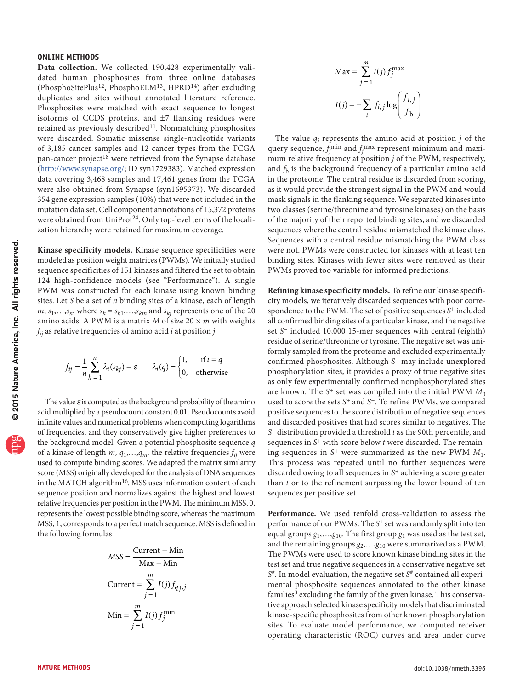## **ONLINE METHODS**

**Data collection.** We collected 190,428 experimentally validated human phosphosites from three online databases (PhosphoSitePlus<sup>12</sup>, PhosphoELM<sup>[13](#page-2-21)</sup>, HPRD<sup>14</sup>) after excluding duplicates and sites without annotated literature reference. Phosphosites were matched with exact sequence to longest isoforms of CCDS proteins, and  $\pm$ 7 flanking residues were retained as previously described<sup>[11](#page-2-0)</sup>. Nonmatching phosphosites were discarded. Somatic missense single-nucleotide variants of 3,185 cancer samples and 12 cancer types from the TCGA pan-cancer project<sup>18</sup> were retrieved from the Synapse database (<http://www.synapse.org/>; ID syn1729383). Matched expression data covering 3,468 samples and 17,461 genes from the TCGA were also obtained from Synapse (syn1695373). We discarded 354 gene expression samples (10%) that were not included in the mutation data set. Cell component annotations of 15,372 proteins were obtained from UniProt<sup>[24](#page-5-0)</sup>. Only top-level terms of the localization hierarchy were retained for maximum coverage.

**Kinase specificity models.** Kinase sequence specificities were modeled as position weight matrices (PWMs). We initially studied sequence specificities of 151 kinases and filtered the set to obtain 124 high-confidence models (see "Performance"). A single PWM was constructed for each kinase using known binding sites. Let *S* be a set of *n* binding sites of a kinase, each of length *m*,  $s_1$ , ..., $s_n$ , where  $s_k = s_{k1}$ , ..., $s_{km}$  and  $s_{kj}$  represents one of the 20 amino acids. A PWM is a matrix *M* of size  $20 \times m$  with weights *fij* as relative frequencies of amino acid *i* at position *j*

$$
f_{ij} = \frac{1}{n} \sum_{k=1}^{n} \lambda_i(s_{kj}) + \varepsilon \qquad \lambda_i(q) = \begin{cases} 1, & \text{if } i = q \\ 0, & \text{otherwise} \end{cases}
$$

The value  $\varepsilon$  is computed as the background probability of the amino acid multiplied by a pseudocount constant 0.01. Pseudocounts avoid infinite values and numerical problems when computing logarithms of frequencies, and they conservatively give higher preferences to the background model. Given a potential phosphosite sequence *q* of a kinase of length  $m$ ,  $q_1$ , ..., $q_m$ , the relative frequencies  $f_{ii}$  were used to compute binding scores. We adapted the matrix similarity score (MSS) originally developed for the analysis of DNA sequences in the MATCH algorithm<sup>16</sup>. MSS uses information content of each sequence position and normalizes against the highest and lowest relative frequencies per position in the PWM. The minimum MSS, 0, represents the lowest possible binding score, whereas the maximum MSS, 1, corresponds to a perfect match sequence. MSS is defined in the following formulas

$$
MSS = \frac{\text{Current} - \text{Min}}{\text{Max} - \text{Min}}
$$

$$
\text{Current} = \sum_{j=1}^{m} I(j) f_{q_j, j}
$$

$$
\text{Min} = \sum_{j=1}^{m} I(j) f_j^{\text{min}}
$$

$$
\text{Max} = \sum_{j=1}^{m} I(j) f_j^{\text{max}}
$$

$$
I(j) = -\sum_{i} f_{i,j} \log \left( \frac{f_{i,j}}{f_{\text{b}}} \right)
$$

The value  $q_i$  represents the amino acid at position  $j$  of the query sequence,  $f_j^{\text{min}}$  and  $f_j^{\text{max}}$  represent minimum and maximum relative frequency at position *j* of the PWM, respectively, and  $f<sub>b</sub>$  is the background frequency of a particular amino acid in the proteome. The central residue is discarded from scoring, as it would provide the strongest signal in the PWM and would mask signals in the flanking sequence. We separated kinases into two classes (serine/threonine and tyrosine kinases) on the basis of the majority of their reported binding sites, and we discarded sequences where the central residue mismatched the kinase class. Sequences with a central residue mismatching the PWM class were not. PWMs were constructed for kinases with at least ten binding sites. Kinases with fewer sites were removed as their PWMs proved too variable for informed predictions.

**Refining kinase specificity models.** To refine our kinase specificity models, we iteratively discarded sequences with poor correspondence to the PWM. The set of positive sequences *S*+ included all confirmed binding sites of a particular kinase, and the negative set *S*− included 10,000 15-mer sequences with central (eighth) residue of serine/threonine or tyrosine. The negative set was uniformly sampled from the proteome and excluded experimentally confirmed phosphosites. Although *S*− may include unexplored phosphorylation sites, it provides a proxy of true negative sites as only few experimentally confirmed nonphosphorylated sites are known. The *S*<sup>+</sup> set was compiled into the initial PWM  $M_0$ used to score the sets *S*+ and *S*−. To refine PWMs, we compared positive sequences to the score distribution of negative sequences and discarded positives that had scores similar to negatives. The *S*− distribution provided a threshold *t* as the 90th percentile, and sequences in *S*+ with score below *t* were discarded. The remaining sequences in *S*+ were summarized as the new PWM *M*1. This process was repeated until no further sequences were discarded owing to all sequences in *S*+ achieving a score greater than *t* or to the refinement surpassing the lower bound of ten sequences per positive set.

**Performance.** We used tenfold cross-validation to assess the performance of our PWMs. The *S*+ set was randomly split into ten equal groups  $g_1$ ,..., $g_{10}$ . The first group  $g_1$  was used as the test set, and the remaining groups  $g_2$ ,..., $g_{10}$  were summarized as a PWM. The PWMs were used to score known kinase binding sites in the test set and true negative sequences in a conservative negative set *S*#. In model evaluation, the negative set *S*# contained all experimental phosphosite sequences annotated to the other kinase families<sup>3</sup> excluding the family of the given kinase. This conservative approach selected kinase specificity models that discriminated kinase-specific phosphosites from other known phosphorylation sites. To evaluate model performance, we computed receiver operating characteristic (ROC) curves and area under curve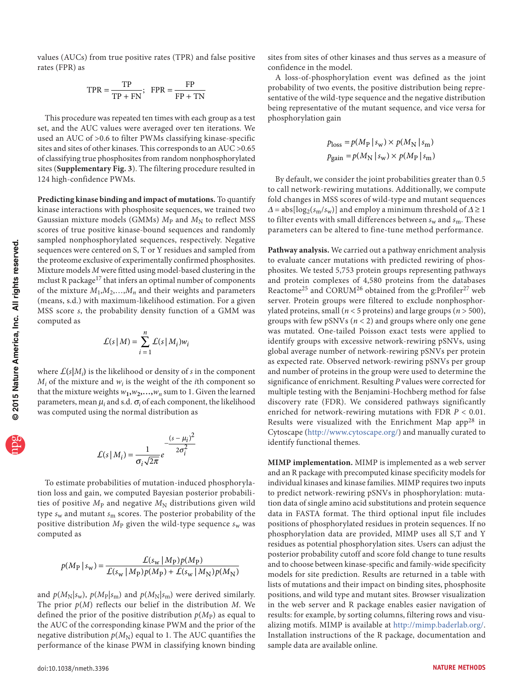values (AUCs) from true positive rates (TPR) and false positive rates (FPR) as

$$
TPR = \frac{TP}{TP + FN}; \quad FPR = \frac{FP}{FP + TN}
$$

This procedure was repeated ten times with each group as a test set, and the AUC values were averaged over ten iterations. We used an AUC of >0.6 to filter PWMs classifying kinase-specific sites and sites of other kinases. This corresponds to an AUC >0.65 of classifying true phosphosites from random nonphosphorylated sites (**Supplementary Fig. 3**). The filtering procedure resulted in 124 high-confidence PWMs.

**Predicting kinase binding and impact of mutations.** To quantify kinase interactions with phosphosite sequences, we trained two Gaussian mixture models (GMMs)  $M<sub>P</sub>$  and  $M<sub>N</sub>$  to reflect MSS scores of true positive kinase-bound sequences and randomly sampled nonphosphorylated sequences, respectively. Negative sequences were centered on S, T or Y residues and sampled from the proteome exclusive of experimentally confirmed phosphosites. Mixture models *M* were fitted using model-based clustering in the mclust R package<sup>17</sup> that infers an optimal number of components of the mixture  $M_1, M_2, \ldots, M_n$  and their weights and parameters (means, s.d.) with maximum-likelihood estimation. For a given MSS score *s*, the probability density function of a GMM was computed as

$$
\mathcal{L}(s \mid M) = \sum_{i=1}^{n} \mathcal{L}(s \mid M_i) w_i
$$

where  $\mathcal{L}(s|M_i)$  is the likelihood or density of *s* in the component  $M_i$  of the mixture and  $w_i$  is the weight of the *i*th component so that the mixture weights  $w_1$ , $w_2$ ,..., $w_n$  sum to 1. Given the learned parameters, mean  $\mu_i$  and s.d.  $\sigma_i$  of each component, the likelihood was computed using the normal distribution as

$$
\mathcal{L}(s \mid M_i) = \frac{1}{\sigma_i \sqrt{2\pi}} e^{-\frac{(s - \mu_i)^2}{2\sigma_i^2}}
$$

To estimate probabilities of mutation-induced phosphorylation loss and gain, we computed Bayesian posterior probabilities of positive  $M<sub>P</sub>$  and negative  $M<sub>N</sub>$  distributions given wild type *s*w and mutant *s*m scores. The posterior probability of the positive distribution  $M<sub>P</sub>$  given the wild-type sequence  $s<sub>w</sub>$  was computed as

$$
p(M_P | s_w) = \frac{\mathcal{L}(s_w | M_P) p(M_P)}{\mathcal{L}(s_w | M_P) p(M_P) + \mathcal{L}(s_w | M_N) p(M_N)}
$$

and  $p(M_N|s_w)$ ,  $p(M_P|s_m)$  and  $p(M_N|s_m)$  were derived similarly. The prior *p*(*M*) reflects our belief in the distribution *M*. We defined the prior of the positive distribution  $p(M_P)$  as equal to the AUC of the corresponding kinase PWM and the prior of the negative distribution  $p(M_N)$  equal to 1. The AUC quantifies the performance of the kinase PWM in classifying known binding

sites from sites of other kinases and thus serves as a measure of confidence in the model.

A loss-of-phosphorylation event was defined as the joint probability of two events, the positive distribution being representative of the wild-type sequence and the negative distribution being representative of the mutant sequence, and vice versa for phosphorylation gain

$$
p_{\text{loss}} = p(M_{\text{P}} \mid s_{\text{w}}) \times p(M_{\text{N}} \mid s_{\text{m}})
$$

$$
p_{\text{gain}} = p(M_{\text{N}} \mid s_{\text{w}}) \times p(M_{\text{P}} \mid s_{\text{m}})
$$

By default, we consider the joint probabilities greater than 0.5 to call network-rewiring mutations. Additionally, we compute fold changes in MSS scores of wild-type and mutant sequences  $\Delta = abs[log_2(s_m/s_w)]$  and employ a minimum threshold of  $\Delta \ge 1$ to filter events with small differences between  $s_w$  and  $s_m$ . These parameters can be altered to fine-tune method performance.

**Pathway analysis.** We carried out a pathway enrichment analysis to evaluate cancer mutations with predicted rewiring of phosphosites. We tested 5,753 protein groups representing pathways and protein complexes of 4,580 proteins from the databases Reactome<sup>25</sup> and CORUM<sup>[26](#page-5-2)</sup> obtained from the g:Profiler<sup>[27](#page-5-3)</sup> web server. Protein groups were filtered to exclude nonphosphorylated proteins, small ( $n < 5$  proteins) and large groups ( $n > 500$ ), groups with few pSNVs (*n* < 2) and groups where only one gene was mutated. One-tailed Poisson exact tests were applied to identify groups with excessive network-rewiring pSNVs, using global average number of network-rewiring pSNVs per protein as expected rate. Observed network-rewiring pSNVs per group and number of proteins in the group were used to determine the significance of enrichment. Resulting *P* values were corrected for multiple testing with the Benjamini-Hochberg method for false discovery rate (FDR). We considered pathways significantly enriched for network-rewiring mutations with FDR *P* < 0.01. Results were visualized with the Enrichment Map app<sup>[28](#page-5-4)</sup> in Cytoscape [\(http://www.cytoscape.org/](http://www.cytoscape.org/)) and manually curated to identify functional themes.

**MIMP implementation.** MIMP is implemented as a web server and an R package with precomputed kinase specificity models for individual kinases and kinase families. MIMP requires two inputs to predict network-rewiring pSNVs in phosphorylation: mutation data of single amino acid substitutions and protein sequence data in FASTA format. The third optional input file includes positions of phosphorylated residues in protein sequences. If no phosphorylation data are provided, MIMP uses all S,T and Y residues as potential phosphorylation sites. Users can adjust the posterior probability cutoff and score fold change to tune results and to choose between kinase-specific and family-wide specificity models for site prediction. Results are returned in a table with lists of mutations and their impact on binding sites, phosphosite positions, and wild type and mutant sites. Browser visualization in the web server and R package enables easier navigation of results: for example, by sorting columns, filtering rows and visualizing motifs. MIMP is available at <http://mimp.baderlab.org/>. Installation instructions of the R package, documentation and sample data are available online.